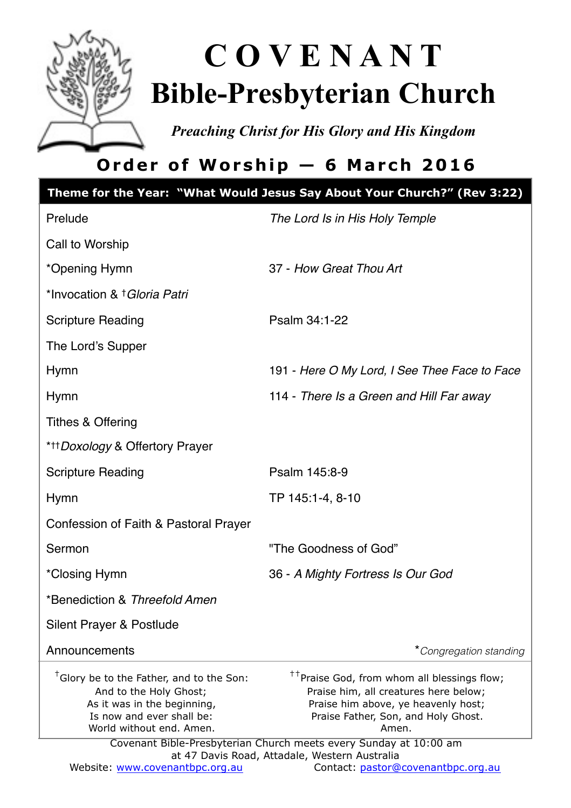

# **C O V E N A N T Bible-Presbyterian Church**

*Preaching Christ for His Glory and His Kingdom* 

# **Order of Worship — 6 March 2016**

|                                                                                                                                                                        | Theme for the Year: "What Would Jesus Say About Your Church?" (Rev 3:22)                                                                                                                                                                                                                                      |
|------------------------------------------------------------------------------------------------------------------------------------------------------------------------|---------------------------------------------------------------------------------------------------------------------------------------------------------------------------------------------------------------------------------------------------------------------------------------------------------------|
| Prelude                                                                                                                                                                | The Lord Is in His Holy Temple                                                                                                                                                                                                                                                                                |
| Call to Worship                                                                                                                                                        |                                                                                                                                                                                                                                                                                                               |
| *Opening Hymn                                                                                                                                                          | 37 - How Great Thou Art                                                                                                                                                                                                                                                                                       |
| *Invocation & † Gloria Patri                                                                                                                                           |                                                                                                                                                                                                                                                                                                               |
| <b>Scripture Reading</b>                                                                                                                                               | Psalm 34:1-22                                                                                                                                                                                                                                                                                                 |
| The Lord's Supper                                                                                                                                                      |                                                                                                                                                                                                                                                                                                               |
| <b>Hymn</b>                                                                                                                                                            | 191 - Here O My Lord, I See Thee Face to Face                                                                                                                                                                                                                                                                 |
| Hymn                                                                                                                                                                   | 114 - There Is a Green and Hill Far away                                                                                                                                                                                                                                                                      |
| Tithes & Offering                                                                                                                                                      |                                                                                                                                                                                                                                                                                                               |
| * <sup>++</sup> Doxology & Offertory Prayer                                                                                                                            |                                                                                                                                                                                                                                                                                                               |
| <b>Scripture Reading</b>                                                                                                                                               | Psalm 145:8-9                                                                                                                                                                                                                                                                                                 |
| Hymn                                                                                                                                                                   | TP 145:1-4, 8-10                                                                                                                                                                                                                                                                                              |
| Confession of Faith & Pastoral Prayer                                                                                                                                  |                                                                                                                                                                                                                                                                                                               |
| Sermon                                                                                                                                                                 | "The Goodness of God"                                                                                                                                                                                                                                                                                         |
| *Closing Hymn                                                                                                                                                          | 36 - A Mighty Fortress Is Our God                                                                                                                                                                                                                                                                             |
| *Benediction & Threefold Amen                                                                                                                                          |                                                                                                                                                                                                                                                                                                               |
| Silent Prayer & Postlude                                                                                                                                               |                                                                                                                                                                                                                                                                                                               |
| Announcements                                                                                                                                                          | *Congregation standing                                                                                                                                                                                                                                                                                        |
| <sup>†</sup> Glory be to the Father, and to the Son:<br>And to the Holy Ghost;<br>As it was in the beginning,<br>Is now and ever shall be:<br>World without end. Amen. | <sup>††</sup> Praise God, from whom all blessings flow;<br>Praise him, all creatures here below;<br>Praise him above, ye heavenly host;<br>Praise Father, Son, and Holy Ghost.<br>Amen.<br>Covenant Bible-Presbyterian Church meets every Sunday at 10:00 am<br>at 47 Davis Road, Attadale, Western Australia |
| Website: www.covenantbpc.org.au                                                                                                                                        | Contact: pastor@covenantbpc.org.au                                                                                                                                                                                                                                                                            |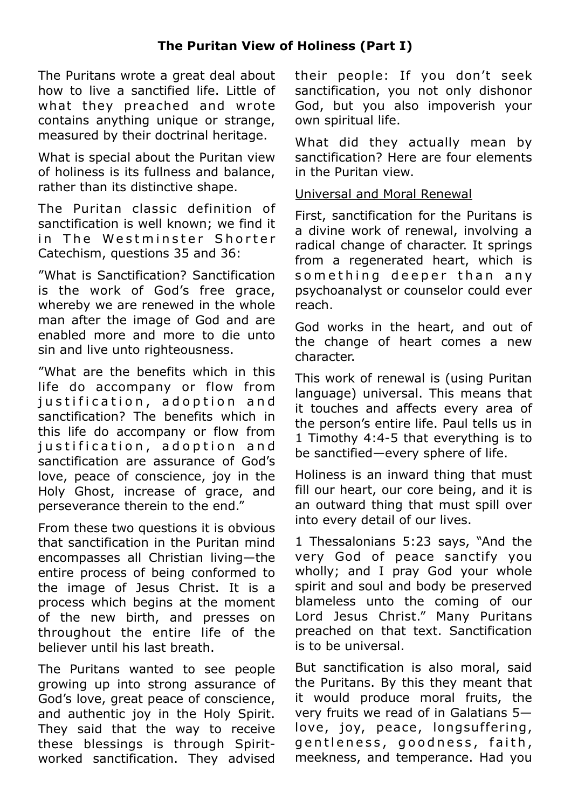# **The Puritan View of Holiness (Part I)**

The Puritans wrote a great deal about how to live a sanctified life. Little of what they preached and wrote contains anything unique or strange, measured by their doctrinal heritage.

What is special about the Puritan view of holiness is its fullness and balance, rather than its distinctive shape.

The Puritan classic definition of sanctification is well known; we find it in The Westminster Shorter Catechism, questions 35 and 36:

"What is Sanctification? Sanctification is the work of God's free grace, whereby we are renewed in the whole man after the image of God and are enabled more and more to die unto sin and live unto righteousness.

"What are the benefits which in this life do accompany or flow from justification, adoption and sanctification? The benefits which in this life do accompany or flow from iustification, adoption and sanctification are assurance of God's love, peace of conscience, joy in the Holy Ghost, increase of grace, and perseverance therein to the end."

From these two questions it is obvious that sanctification in the Puritan mind encompasses all Christian living—the entire process of being conformed to the image of Jesus Christ. It is a process which begins at the moment of the new birth, and presses on throughout the entire life of the believer until his last breath.

The Puritans wanted to see people growing up into strong assurance of God's love, great peace of conscience, and authentic joy in the Holy Spirit. They said that the way to receive these blessings is through Spiritworked sanctification. They advised their people: If you don't seek sanctification, you not only dishonor God, but you also impoverish your own spiritual life.

What did they actually mean by sanctification? Here are four elements in the Puritan view.

### Universal and Moral Renewal

First, sanctification for the Puritans is a divine work of renewal, involving a radical change of character. It springs from a regenerated heart, which is something deeper than any psychoanalyst or counselor could ever reach.

God works in the heart, and out of the change of heart comes a new character.

This work of renewal is (using Puritan language) universal. This means that it touches and affects every area of the person's entire life. Paul tells us in 1 Timothy 4:4-5 that everything is to be sanctified—every sphere of life.

Holiness is an inward thing that must fill our heart, our core being, and it is an outward thing that must spill over into every detail of our lives.

1 Thessalonians 5:23 says, "And the very God of peace sanctify you wholly; and I pray God your whole spirit and soul and body be preserved blameless unto the coming of our Lord Jesus Christ." Many Puritans preached on that text. Sanctification is to be universal.

But sanctification is also moral, said the Puritans. By this they meant that it would produce moral fruits, the very fruits we read of in Galatians 5 love, joy, peace, longsuffering, gentleness, goodness, faith, meekness, and temperance. Had you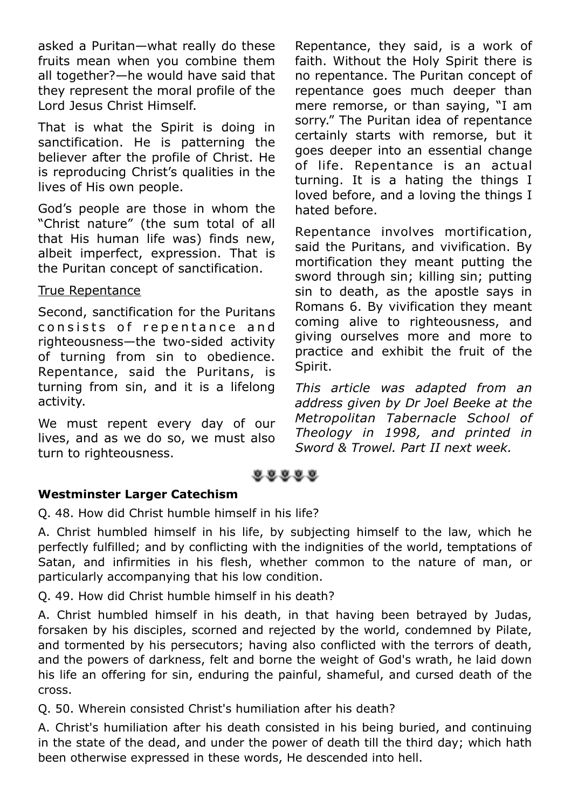asked a Puritan—what really do these fruits mean when you combine them all together?—he would have said that they represent the moral profile of the Lord Jesus Christ Himself.

That is what the Spirit is doing in sanctification. He is patterning the believer after the profile of Christ. He is reproducing Christ's qualities in the lives of His own people.

God's people are those in whom the "Christ nature" (the sum total of all that His human life was) finds new, albeit imperfect, expression. That is the Puritan concept of sanctification.

## True Repentance

Second, sanctification for the Puritans consists of repentance and righteousness—the two-sided activity of turning from sin to obedience. Repentance, said the Puritans, is turning from sin, and it is a lifelong activity.

We must repent every day of our lives, and as we do so, we must also turn to righteousness.

Repentance, they said, is a work of faith. Without the Holy Spirit there is no repentance. The Puritan concept of repentance goes much deeper than mere remorse, or than saying, "I am sorry." The Puritan idea of repentance certainly starts with remorse, but it goes deeper into an essential change of life. Repentance is an actual turning. It is a hating the things I loved before, and a loving the things I hated before.

Repentance involves mortification, said the Puritans, and vivification. By mortification they meant putting the sword through sin; killing sin; putting sin to death, as the apostle says in Romans 6. By vivification they meant coming alive to righteousness, and giving ourselves more and more to practice and exhibit the fruit of the Spirit.

*This article was adapted from an address given by Dr Joel Beeke at the Metropolitan Tabernacle School of Theology in 1998, and printed in Sword & Trowel. Part II next week.*

 $0.0.0.0.0$ 

#### **Westminster Larger Catechism**

Q. 48. How did Christ humble himself in his life?

A. Christ humbled himself in his life, by subjecting himself to the law, which he perfectly fulfilled; and by conflicting with the indignities of the world, temptations of Satan, and infirmities in his flesh, whether common to the nature of man, or particularly accompanying that his low condition.

Q. 49. How did Christ humble himself in his death?

A. Christ humbled himself in his death, in that having been betrayed by Judas, forsaken by his disciples, scorned and rejected by the world, condemned by Pilate, and tormented by his persecutors; having also conflicted with the terrors of death, and the powers of darkness, felt and borne the weight of God's wrath, he laid down his life an offering for sin, enduring the painful, shameful, and cursed death of the cross.

Q. 50. Wherein consisted Christ's humiliation after his death?

A. Christ's humiliation after his death consisted in his being buried, and continuing in the state of the dead, and under the power of death till the third day; which hath been otherwise expressed in these words, He descended into hell.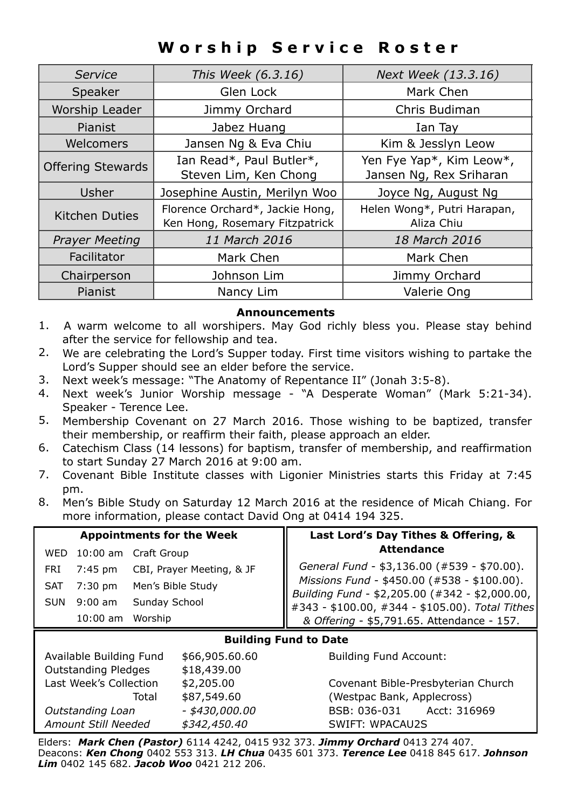# **Worship Service Roster**

| Service                  | This Week (6.3.16)                                                | Next Week (13.3.16)                                 |  |
|--------------------------|-------------------------------------------------------------------|-----------------------------------------------------|--|
| Speaker                  | Glen Lock                                                         | Mark Chen                                           |  |
| Worship Leader           | Jimmy Orchard                                                     | Chris Budiman                                       |  |
| Pianist                  | Jabez Huang                                                       | Ian Tay                                             |  |
| Welcomers                | Jansen Ng & Eva Chiu                                              | Kim & Jesslyn Leow                                  |  |
| <b>Offering Stewards</b> | Ian Read*, Paul Butler*,<br>Steven Lim, Ken Chong                 | Yen Fye Yap*, Kim Leow*,<br>Jansen Ng, Rex Sriharan |  |
| Usher                    | Josephine Austin, Merilyn Woo                                     | Joyce Ng, August Ng                                 |  |
| Kitchen Duties           | Florence Orchard*, Jackie Hong,<br>Ken Hong, Rosemary Fitzpatrick | Helen Wong*, Putri Harapan,<br>Aliza Chiu           |  |
| <b>Prayer Meeting</b>    | 11 March 2016                                                     | 18 March 2016                                       |  |
| Facilitator              | Mark Chen                                                         | Mark Chen                                           |  |
| Chairperson              | Johnson Lim                                                       | Jimmy Orchard                                       |  |
| <b>Pianist</b>           | Nancy Lim                                                         | Valerie Ong                                         |  |

#### **Announcements**

- 1. A warm welcome to all worshipers. May God richly bless you. Please stay behind after the service for fellowship and tea.
- 2. We are celebrating the Lord's Supper today. First time visitors wishing to partake the Lord's Supper should see an elder before the service.
- 3. Next week's message: "The Anatomy of Repentance II" (Jonah 3:5-8).
- 4. Next week's Junior Worship message "A Desperate Woman" (Mark 5:21-34). Speaker - Terence Lee.
- 5. Membership Covenant on 27 March 2016. Those wishing to be baptized, transfer their membership, or reaffirm their faith, please approach an elder.
- 6. Catechism Class (14 lessons) for baptism, transfer of membership, and reaffirmation to start Sunday 27 March 2016 at 9:00 am.
- 7. Covenant Bible Institute classes with Ligonier Ministries starts this Friday at 7:45 pm.
- 8. Men's Bible Study on Saturday 12 March 2016 at the residence of Micah Chiang. For more information, please contact David Ong at 0414 194 325.

| <b>Appointments for the Week</b> |            |                           | Last Lord's Day Tithes & Offering, &                                                                                                                                                            |
|----------------------------------|------------|---------------------------|-------------------------------------------------------------------------------------------------------------------------------------------------------------------------------------------------|
|                                  |            | WED 10:00 am Craft Group  | <b>Attendance</b>                                                                                                                                                                               |
| FRI                              | 7:45 pm    | CBI, Prayer Meeting, & JF | General Fund - \$3,136.00 (#539 - \$70.00).                                                                                                                                                     |
| <b>SAT</b>                       |            | 7:30 pm Men's Bible Study | Missions Fund - \$450.00 (#335 - \$100.00).<br>Building Fund - \$2,205.00 (#342 - \$2,000.00).<br>#343 - \$100.00, #344 - \$105.00). Total Tithes<br>& Offering - \$5,791.65. Attendance - 157. |
| SUN                              | $9:00$ am  | Sunday School             |                                                                                                                                                                                                 |
|                                  | $10:00$ am | Worship                   |                                                                                                                                                                                                 |
| <b>Ruilding Fund to Date</b>     |            |                           |                                                                                                                                                                                                 |

#### **Building Fund to Date**

Available Building Fund \$66,905.60.60 Building Fund Account: Outstanding Pledges \$18,439.00 Last Week's Collection \$2,205.00 Covenant Bible-Presbyterian Church *Outstanding Loan - \$430,000.00* BSB: 036-031 Acct: 316969 *Amount Still Needed \$342,450.40* SWIFT: WPACAU2S

Total \$87,549.60 (Westpac Bank, Applecross)

Elders: *Mark Chen (Pastor)* 6114 4242, 0415 932 373. *Jimmy Orchard* 0413 274 407. Deacons: *Ken Chong* 0402 553 313. *LH Chua* 0435 601 373. *Terence Lee* 0418 845 617. *Johnson Lim* 0402 145 682. *Jacob Woo* 0421 212 206.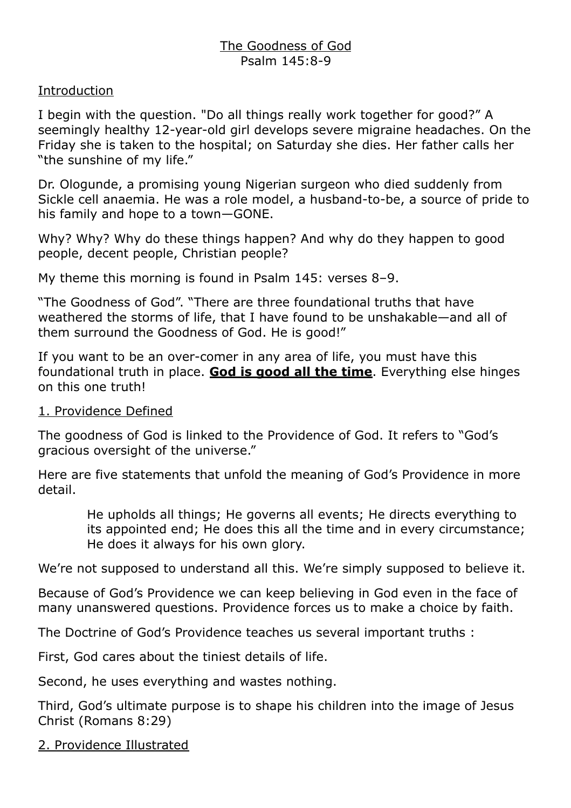# The Goodness of God Psalm 145:8-9

# **Introduction**

I begin with the question. "Do all things really work together for good?" A seemingly healthy 12-year-old girl develops severe migraine headaches. On the Friday she is taken to the hospital; on Saturday she dies. Her father calls her "the sunshine of my life."

Dr. Ologunde, a promising young Nigerian surgeon who died suddenly from Sickle cell anaemia. He was a role model, a husband-to-be, a source of pride to his family and hope to a town—GONE.

Why? Why? Why do these things happen? And why do they happen to good people, decent people, Christian people?

My theme this morning is found in Psalm 145: verses 8–9.

"The Goodness of God". "There are three foundational truths that have weathered the storms of life, that I have found to be unshakable—and all of them surround the Goodness of God. He is good!"

If you want to be an over-comer in any area of life, you must have this foundational truth in place. **God is good all the time**. Everything else hinges on this one truth!

# 1. Providence Defined

The goodness of God is linked to the Providence of God. It refers to "God's gracious oversight of the universe."

Here are five statements that unfold the meaning of God's Providence in more detail.

> He upholds all things; He governs all events; He directs everything to its appointed end; He does this all the time and in every circumstance; He does it always for his own glory.

We're not supposed to understand all this. We're simply supposed to believe it.

Because of God's Providence we can keep believing in God even in the face of many unanswered questions. Providence forces us to make a choice by faith.

The Doctrine of God's Providence teaches us several important truths :

First, God cares about the tiniest details of life.

Second, he uses everything and wastes nothing.

Third, God's ultimate purpose is to shape his children into the image of Jesus Christ (Romans 8:29)

2. Providence Illustrated